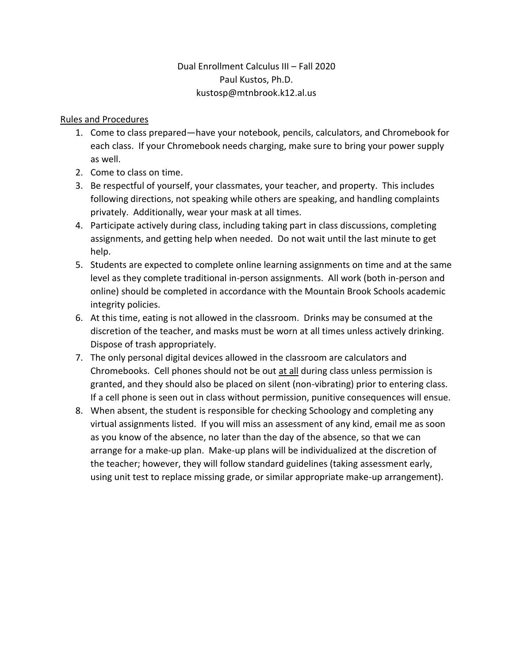# Dual Enrollment Calculus III – Fall 2020 Paul Kustos, Ph.D. kustosp@mtnbrook.k12.al.us

### Rules and Procedures

- 1. Come to class prepared—have your notebook, pencils, calculators, and Chromebook for each class. If your Chromebook needs charging, make sure to bring your power supply as well.
- 2. Come to class on time.
- 3. Be respectful of yourself, your classmates, your teacher, and property. This includes following directions, not speaking while others are speaking, and handling complaints privately. Additionally, wear your mask at all times.
- 4. Participate actively during class, including taking part in class discussions, completing assignments, and getting help when needed. Do not wait until the last minute to get help.
- 5. Students are expected to complete online learning assignments on time and at the same level as they complete traditional in-person assignments. All work (both in-person and online) should be completed in accordance with the Mountain Brook Schools academic integrity policies.
- 6. At this time, eating is not allowed in the classroom. Drinks may be consumed at the discretion of the teacher, and masks must be worn at all times unless actively drinking. Dispose of trash appropriately.
- 7. The only personal digital devices allowed in the classroom are calculators and Chromebooks. Cell phones should not be out at all during class unless permission is granted, and they should also be placed on silent (non-vibrating) prior to entering class. If a cell phone is seen out in class without permission, punitive consequences will ensue.
- 8. When absent, the student is responsible for checking Schoology and completing any virtual assignments listed. If you will miss an assessment of any kind, email me as soon as you know of the absence, no later than the day of the absence, so that we can arrange for a make-up plan. Make-up plans will be individualized at the discretion of the teacher; however, they will follow standard guidelines (taking assessment early, using unit test to replace missing grade, or similar appropriate make-up arrangement).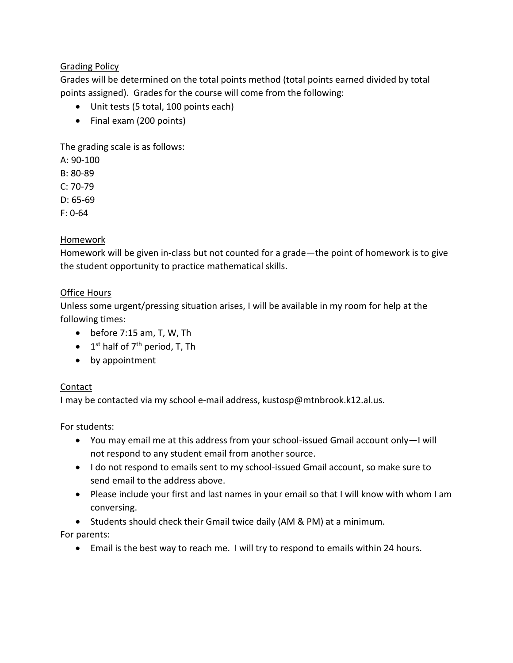# Grading Policy

Grades will be determined on the total points method (total points earned divided by total points assigned). Grades for the course will come from the following:

- Unit tests (5 total, 100 points each)
- Final exam (200 points)

The grading scale is as follows:

A: 90-100

- B: 80-89
- $C: 70-79$
- D: 65-69
- F: 0-64

## Homework

Homework will be given in-class but not counted for a grade—the point of homework is to give the student opportunity to practice mathematical skills.

### Office Hours

Unless some urgent/pressing situation arises, I will be available in my room for help at the following times:

- $\bullet$  before 7:15 am, T, W, Th
- $\bullet$  1<sup>st</sup> half of 7<sup>th</sup> period, T, Th
- by appointment

# Contact

I may be contacted via my school e-mail address, kustosp@mtnbrook.k12.al.us.

For students:

- You may email me at this address from your school-issued Gmail account only—I will not respond to any student email from another source.
- I do not respond to emails sent to my school-issued Gmail account, so make sure to send email to the address above.
- Please include your first and last names in your email so that I will know with whom I am conversing.
- Students should check their Gmail twice daily (AM & PM) at a minimum.

For parents:

Email is the best way to reach me. I will try to respond to emails within 24 hours.